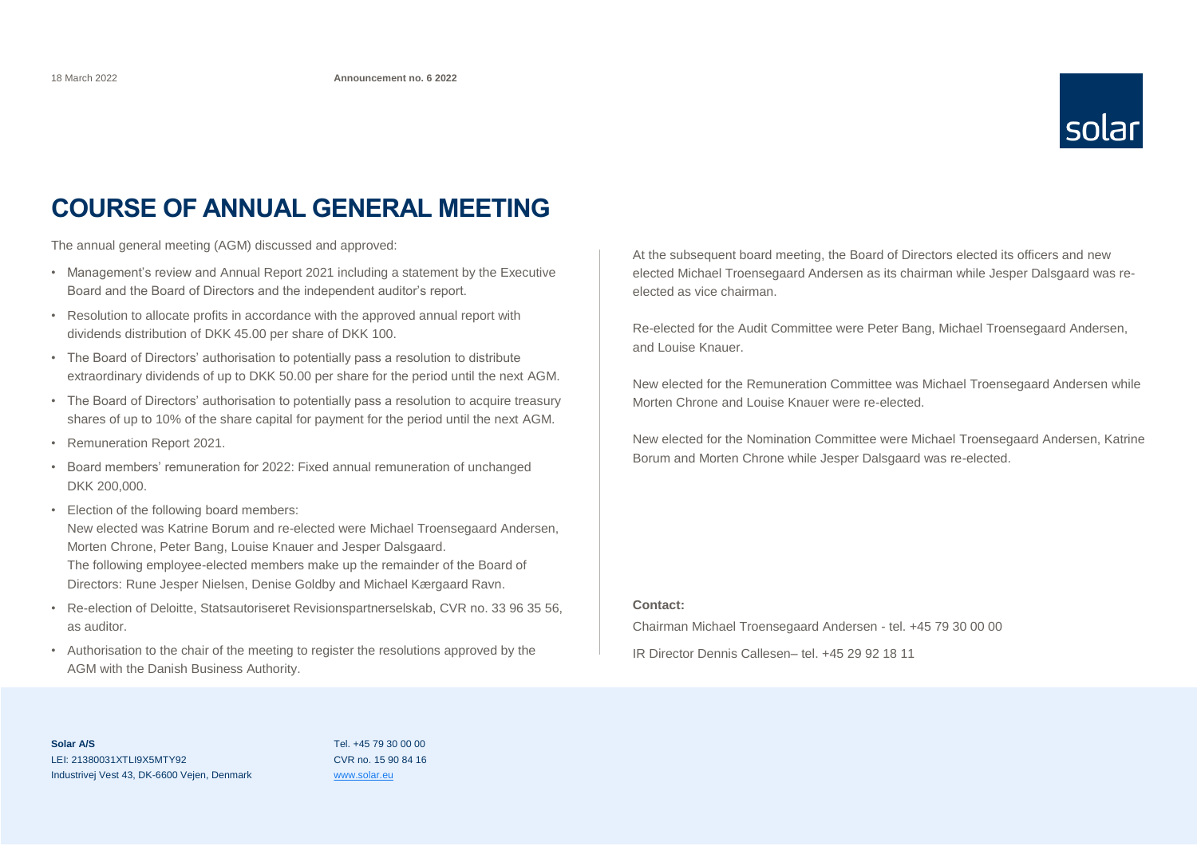

## **COURSE OF ANNUAL GENERAL MEETING**

The annual general meeting (AGM) discussed and approved:

- Management's review and Annual Report 2021 including a statement by the Executive Board and the Board of Directors and the independent auditor's report.
- Resolution to allocate profits in accordance with the approved annual report with dividends distribution of DKK 45.00 per share of DKK 100.
- The Board of Directors' authorisation to potentially pass a resolution to distribute extraordinary dividends of up to DKK 50.00 per share for the period until the next AGM.
- The Board of Directors' authorisation to potentially pass a resolution to acquire treasury shares of up to 10% of the share capital for payment for the period until the next AGM.
- Remuneration Report 2021.
- Board members' remuneration for 2022: Fixed annual remuneration of unchanged DKK 200,000.
- Election of the following board members: New elected was Katrine Borum and re-elected were Michael Troensegaard Andersen, Morten Chrone, Peter Bang, Louise Knauer and Jesper Dalsgaard. The following employee-elected members make up the remainder of the Board of Directors: Rune Jesper Nielsen, Denise Goldby and Michael Kærgaard Ravn.
- Re-election of Deloitte, Statsautoriseret Revisionspartnerselskab, CVR no. 33 96 35 56, as auditor.
- Authorisation to the chair of the meeting to register the resolutions approved by the AGM with the Danish Business Authority.

At the subsequent board meeting, the Board of Directors elected its officers and new elected Michael Troensegaard Andersen as its chairman while Jesper Dalsgaard was reelected as vice chairman.

Re-elected for the Audit Committee were Peter Bang, Michael Troensegaard Andersen, and Louise Knauer.

New elected for the Remuneration Committee was Michael Troensegaard Andersen while Morten Chrone and Louise Knauer were re-elected.

New elected for the Nomination Committee were Michael Troensegaard Andersen, Katrine Borum and Morten Chrone while Jesper Dalsgaard was re-elected.

## **Contact:**

Chairman Michael Troensegaard Andersen - tel. +45 79 30 00 00 IR Director Dennis Callesen– tel. +45 29 92 18 11

Tel. +45 79 30 00 00 CVR no. 15 90 84 16 [www.solar.eu](http://www.solar.eu/)